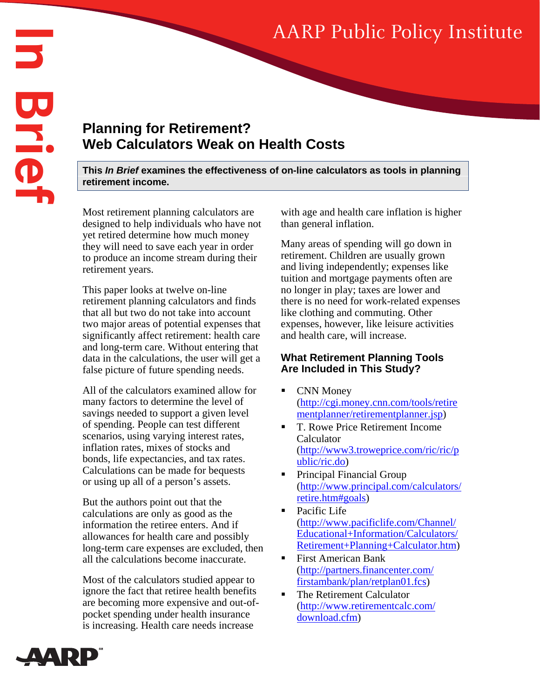# AARP Public Policy Institute

## **Planning for Retirement? Web Calculators Weak on Health Costs**

**This** *In Brief* **examines the effectiveness of on-line calculators as tools in planning retirement income.** 

Most retirement planning calculators are designed to help individuals who have not yet retired determine how much money they will need to save each year in order to produce an income stream during their retirement years.

This paper looks at twelve on-line retirement planning calculators and finds that all but two do not take into account two major areas of potential expenses that significantly affect retirement: health care and long-term care. Without entering that data in the calculations, the user will get a false picture of future spending needs.

All of the calculators examined allow for many factors to determine the level of savings needed to support a given level of spending. People can test different scenarios, using varying interest rates, inflation rates, mixes of stocks and bonds, life expectancies, and tax rates. Calculations can be made for bequests or using up all of a person's assets.

But the authors point out that the calculations are only as good as the information the retiree enters. And if allowances for health care and possibly long-term care expenses are excluded, then all the calculations become inaccurate.

Most of the calculators studied appear to ignore the fact that retiree health benefits are becoming more expensive and out-ofpocket spending under health insurance is increasing. Health care needs increase

with age and health care inflation is higher than general inflation.

Many areas of spending will go down in retirement. Children are usually grown and living independently; expenses like tuition and mortgage payments often are no longer in play; taxes are lower and there is no need for work-related expenses like clothing and commuting. Other expenses, however, like leisure activities and health care, will increase.

#### **What Retirement Planning Tools Are Included in This Study?**

- CNN Money (http://cgi.money.cnn.com/tools/retire mentplanner/retirementplanner.jsp)
- T. Rowe Price Retirement Income Calculator (http://www3.troweprice.com/ric/ric/p ublic/ric.do)
- Principal Financial Group (http://www.principal.com/calculators/ retire.htm#goals)
- Pacific Life (http://www.pacificlife.com/Channel/ Educational+Information/Calculators/ Retirement+Planning+Calculator.htm)
- First American Bank (http://partners.financenter.com/ firstambank/plan/retplan01.fcs)
- The Retirement Calculator (http://www.retirementcalc.com/ download.cfm)